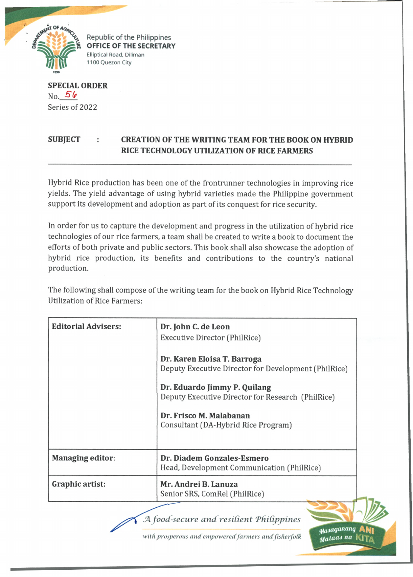

Republic of the Philippines **OFFICE OF THE SECRETARY** Elliptical Road, Diliman 1100 Quezon City

**SPECIAL ORDER**  $No. 56$ Series of 2022

## **SUBJECT : CREATION OF THE WRITING TEAM FOR THE BOOK ON HYBRID RICE TECHNOLOGY UTILIZATION OF RICE FARMERS**

Hybrid Rice production has been one of the frontrunner technologies in improving rice yields. The yield advantage of using hybrid varieties made the Philippine government support its development and adoption as part of its conquest for rice security.

In order for us to capture the development and progress in the utilization of hybrid rice technologies of our rice farmers, a team shall be created to write a book to document the efforts of both private and public sectors. This book shall also showcase the adoption of hybrid rice production, its benefits and contributions to the country's national production.

The following shall compose of the writing team for the book on Hybrid Rice Technology Utilization of Rice Farmers:

| <b>Editorial Advisers:</b> | Dr. John C. de Leon<br>Executive Director (PhilRice)<br>Dr. Karen Eloisa T. Barroga<br>Deputy Executive Director for Development (PhilRice)<br>Dr. Eduardo Jimmy P. Quilang<br>Deputy Executive Director for Research (PhilRice)<br>Dr. Frisco M. Malabanan<br>Consultant (DA-Hybrid Rice Program) |  |
|----------------------------|----------------------------------------------------------------------------------------------------------------------------------------------------------------------------------------------------------------------------------------------------------------------------------------------------|--|
| <b>Managing editor:</b>    | Dr. Diadem Gonzales-Esmero<br>Head, Development Communication (PhilRice)                                                                                                                                                                                                                           |  |
| Graphic artist:            | Mr. Andrei B. Lanuza<br>Senior SRS, ComRel (PhilRice)                                                                                                                                                                                                                                              |  |

*JA food-secure and resilient Thitippines*

with prosperous and empowered farmers and fisherfolk

*tfa M iq a n xu u j* A N i *'Maiaa i na* fQ T / i